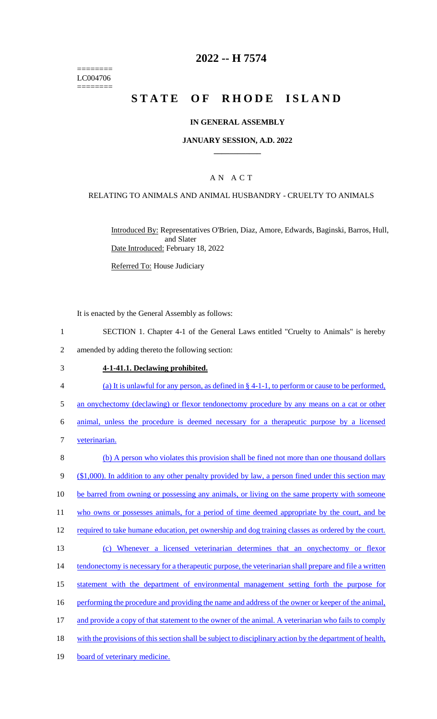======== LC004706  $=$ 

# **2022 -- H 7574**

# **STATE OF RHODE ISLAND**

#### **IN GENERAL ASSEMBLY**

#### **JANUARY SESSION, A.D. 2022 \_\_\_\_\_\_\_\_\_\_\_\_**

## A N A C T

#### RELATING TO ANIMALS AND ANIMAL HUSBANDRY - CRUELTY TO ANIMALS

Introduced By: Representatives O'Brien, Diaz, Amore, Edwards, Baginski, Barros, Hull, and Slater Date Introduced: February 18, 2022

Referred To: House Judiciary

It is enacted by the General Assembly as follows:

- 1 SECTION 1. Chapter 4-1 of the General Laws entitled "Cruelty to Animals" is hereby 2 amended by adding thereto the following section:
- 3 **4-1-41.1. Declawing prohibited.**
- 4 (a) It is unlawful for any person, as defined in § 4-1-1, to perform or cause to be performed, 5 an onychectomy (declawing) or flexor tendonectomy procedure by any means on a cat or other 6 animal, unless the procedure is deemed necessary for a therapeutic purpose by a licensed
- 7 veterinarian.

| 8  | (b) A person who violates this provision shall be fined not more than one thousand dollars               |
|----|----------------------------------------------------------------------------------------------------------|
| 9  | $($1,000)$ . In addition to any other penalty provided by law, a person fined under this section may     |
| 10 | be barred from owning or possessing any animals, or living on the same property with someone             |
| 11 | who owns or possesses animals, for a period of time deemed appropriate by the court, and be              |
| 12 | required to take humane education, pet ownership and dog training classes as ordered by the court.       |
| 13 | Whenever a licensed veterinarian determines that an onychectomy or flexor<br>(c)                         |
| 14 | tendonectomy is necessary for a therapeutic purpose, the veterinarian shall prepare and file a written   |
| 15 | statement with the department of environmental management setting forth the purpose for                  |
| 16 | performing the procedure and providing the name and address of the owner or keeper of the animal,        |
| 17 | and provide a copy of that statement to the owner of the animal. A veterinarian who fails to comply      |
| 18 | with the provisions of this section shall be subject to disciplinary action by the department of health, |
| 19 | board of veterinary medicine.                                                                            |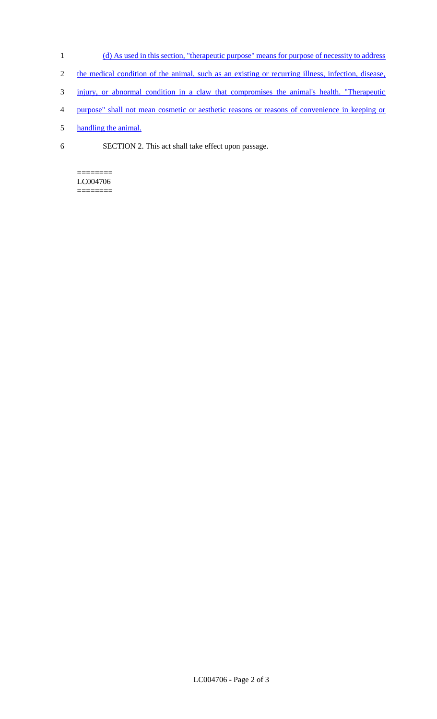- 1 (d) As used in this section, "therapeutic purpose" means for purpose of necessity to address
- 2 the medical condition of the animal, such as an existing or recurring illness, infection, disease,
- 3 injury, or abnormal condition in a claw that compromises the animal's health. "Therapeutic
- 4 purpose" shall not mean cosmetic or aesthetic reasons or reasons of convenience in keeping or
- 5 handling the animal.
- 6 SECTION 2. This act shall take effect upon passage.

## ======== LC004706

========